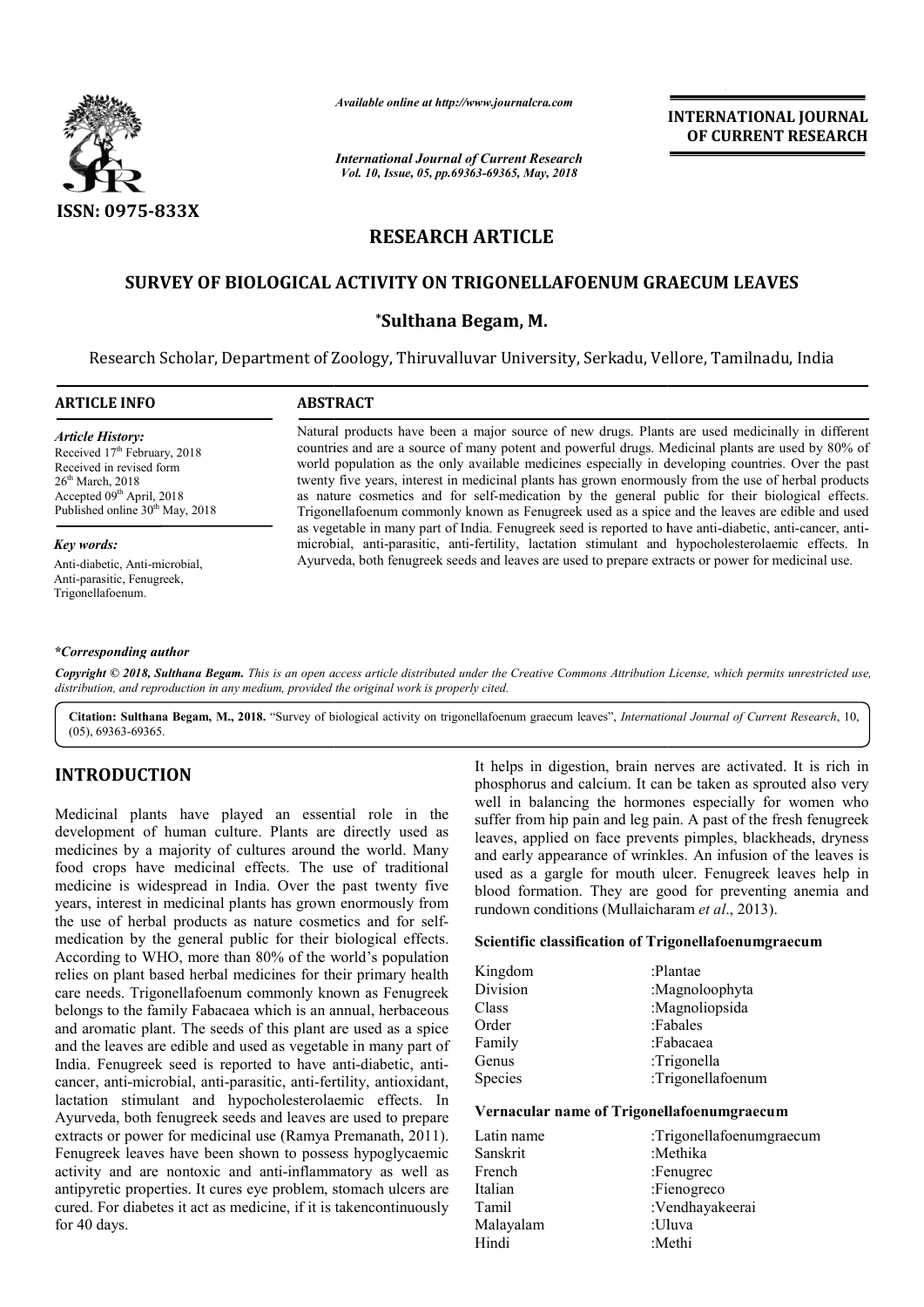

*Available online at http://www.journalcra.com*

*International Journal of Current Research Vol. 10, Issue, 05, pp.69363-69365, May, 2018*

**INTERNATIONAL JOURNAL OF CURRENT RESEARCH**

# **RESEARCH ARTICLE**

# **SURVEY OF BIOLOGICAL ACTIVITY ON TRIGONELLAFOENUM GRAECUM LEAVES**

# **\*Sulthana Begam, M.**

Research Scholar, Department of Zoology, Thiruvalluvar University, Serkadu, Vellore, Tamilnadu, India Research

### **ARTICLE INFO**

# **ABSTRACT**

*Article History:* Received 17<sup>th</sup> February, 2018 Received in revised form 26<sup>th</sup> March, 2018 Accepted 09<sup>th</sup> April, 2018 Published online 30<sup>th</sup> May, 2018

#### *Key words:*

Anti-diabetic, Anti-microbial, Anti-parasitic, Fenugreek, Trigonellafoenum.

Natural products have been a major source of new drugs. Plants are used medicinally in different countries and are a source of many potent and powerful drugs. Medicinal plants are used by 80% of world population as the only available medic medicines especially in developing countries. twenty five years, interest in medicinal plants has grown enormously from the use of herbal products as nature cosmetics and for self-medication by the general public for their biological effects. Trigonellafoenum commonly known as Fenugreek used as a spice and the leaves are edible and used as vegetable in many part of India. Fenugreek seed is reported to have anti-diabetic, anti-cancer, antimicrobial, anti-parasitic, anti-fertility, lactation stimulant and hypocholesterolaemic effects. In microbial, anti-parasitic, anti-fertility, lactation stimulant and hypocholesterolaemic effects.<br>Ayurveda, both fenugreek seeds and leaves are used to prepare extracts or power for medicinal use. Natural products have been a major source of new drugs. Plants are used medicinally in different countries and are a source of many potent and powerful drugs. Medicinal plants are used by 80% of world population as the onl twenty five years, interest in medicinal plants has grown enormously from the use of herbal products as nature cosmetics and for self-medication by the general public for their biological effects. Trigonellafoenum commonly

#### *\*Corresponding author*

Copyright © 2018, Sulthana Begam. This is an open access article distributed under the Creative Commons Attribution License, which permits unrestricted use, *distribution, and reproduction in any medium, provided the original work is properly cited.*

Citation: Sulthana Begam, M., 2018. "Survey of biological activity on trigonellafoenum graecum leaves", International Journal of Current Research, 10, (05), 69363-69365.

# **INTRODUCTION**

Medicinal plants have played an essential role in the development of human culture. Plants are directly used as medicines by a majority of cultures around the world. Many food crops have medicinal effects. The use of traditional medicine is widespread in India. Over the past twenty five years, interest in medicinal plants has grown enormously from the use of herbal products as nature cosmetics and for selfmedication by the general public for their biological effects. According to WHO, more than 80% of the world's population relies on plant based herbal medicines for their primary health care needs. Trigonellafoenum commonly known as Fenugreek belongs to the family Fabacaea which is an annual, herbaceous and aromatic plant. The seeds of this plant are used as a spice and the leaves are edible and used as vegetable in many part of India. Fenugreek seed is reported to have anti-diabetic, anticancer, anti-microbial, anti-parasitic, anti-fertility, antioxidant, lactation stimulant and hypocholesterolaemic effects. In Ayurveda, both fenugreek seeds and leaves are used to prepare extracts or power for medicinal use (Ramya Premanath, 2011). Fenugreek leaves have been shown to possess hypoglycaemic activity and are nontoxic and anti-inflammatory as well as antipyretic properties. It cures eye problem, stomach ulcers are cured. For diabetes it act as medicine, if it is takencontinuously for 40 days. fertility, antioxidant,<br>plaemic effects. In<br>s are used to prepare<br>*r*a Premanath, 2011).

It helps in digestion, brain nerves are activated. It is rich in prosphenous and calcum. It can be taken as provided also very<br>weather the well in balancing the hormones especially for women who suffer from hip pain and l phosphorus and calcium. It can be taken as sprouted also very well in balancing the hormones especially for women who suffer from hip pain and leg pain. A past of the fresh fenugreek leaves, applied on face prevents pimples, blackheads, dryness and early appearance of wrinkles. An infusion of the leaves is used as a gargle for mouth ulcer. Fenugreek leaves help in blood formation. They are good for preventing anemia and rundown conditions (Mullaicharam et al., 2013). It helps in digestion, brain nerves are activated. It is rich in phosphorus and calcium. It can be taken as sprouted also very well in balancing the hormones especially for women who suffer from hip pain and leg pain. A pa

### **Scientific classification of Trigonellafoenumgraecum**

| Kingdom  | :Plantae          |
|----------|-------------------|
| Division | :Magnoloophyta    |
| Class    | :Magnoliopsida    |
| Order    | :Fabales          |
| Family   | :Fabacaea         |
| Genus    | :Trigonella       |
| Species  | :Trigonellafoenum |

## **Vernacular name of Trigonellafoenumgraecum**

| :Trigonellafoenumgraecum |
|--------------------------|
|                          |
|                          |
|                          |
| :Vendhayakeerai          |
|                          |
|                          |
|                          |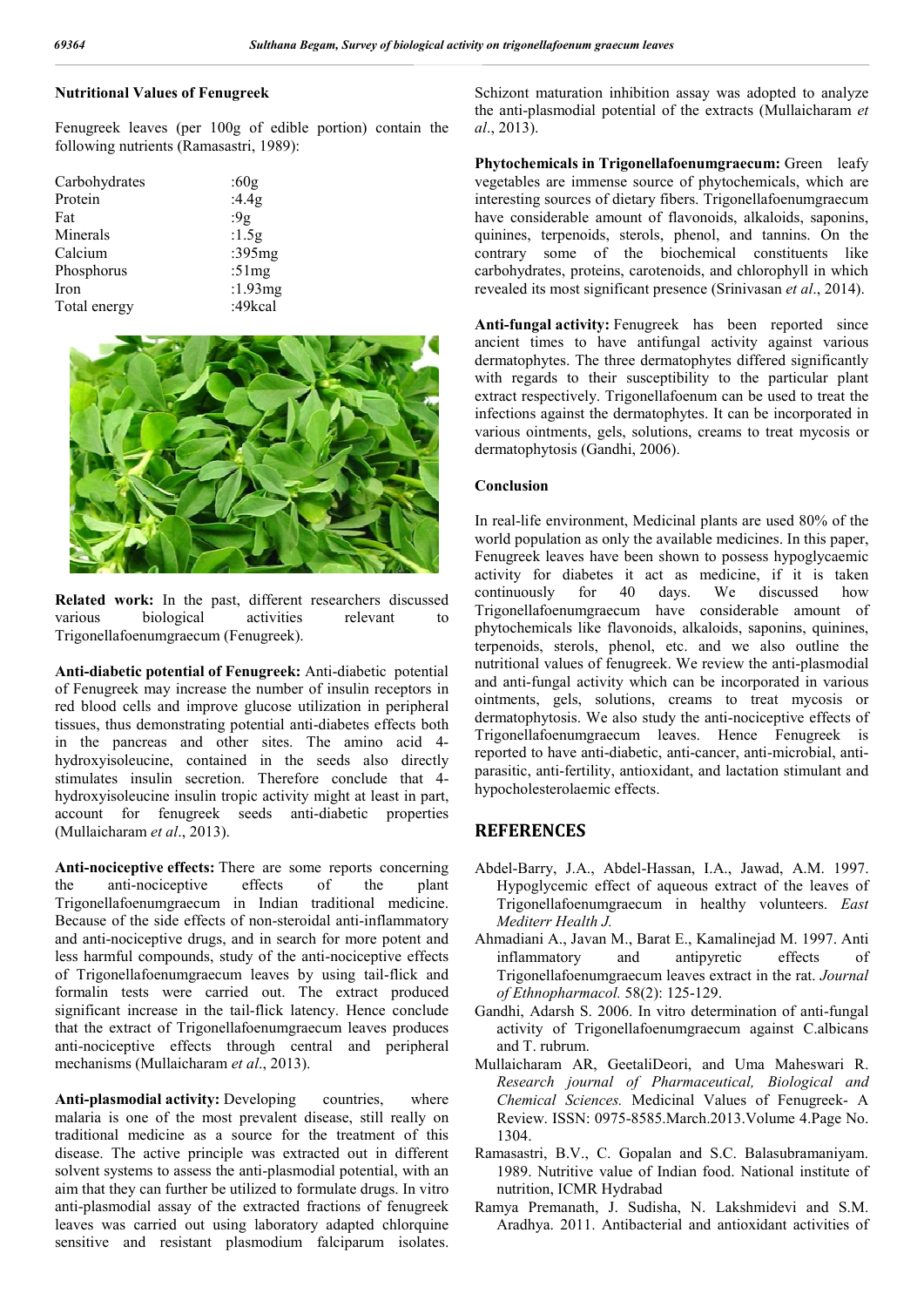## **Nutritional Values of Fenugreek**

Fenugreek leaves (per 100g of edible portion) contain the following nutrients (Ramasastri, 1989):

| Carbohydrates | :60g       |
|---------------|------------|
| Protein       | :4.4g      |
| Fat           | :9 $g$     |
| Minerals      | :1.5 $g$   |
| Calcium       | :395 $mg$  |
| Phosphorus    | :51 $mg$   |
| Iron          | :1.93 $mg$ |
| Total energy  | :49kcal    |



**Related work:** In the past, different researchers discussed various biological activities relevant to Trigonellafoenumgraecum (Fenugreek).

**Anti-diabetic potential of Fenugreek:** Anti-diabetic potential of Fenugreek may increase the number of insulin receptors in red blood cells and improve glucose utilization in peripheral tissues, thus demonstrating potential anti-diabetes effects both in the pancreas and other sites. The amino acid 4 hydroxyisoleucine, contained in the seeds also directly stimulates insulin secretion. Therefore conclude that 4 hydroxyisoleucine insulin tropic activity might at least in part, account for fenugreek seeds anti-diabetic properties (Mullaicharam *et al*., 2013).

**Anti-nociceptive effects:** There are some reports concerning the anti-nociceptive effects of the plant Trigonellafoenumgraecum in Indian traditional medicine. Because of the side effects of non-steroidal anti-inflammatory and anti-nociceptive drugs, and in search for more potent and less harmful compounds, study of the anti-nociceptive effects of Trigonellafoenumgraecum leaves by using tail-flick and formalin tests were carried out. The extract produced significant increase in the tail-flick latency. Hence conclude that the extract of Trigonellafoenumgraecum leaves produces anti-nociceptive effects through central and peripheral mechanisms (Mullaicharam *et al*., 2013).

Anti-plasmodial activity: Developing countries, where malaria is one of the most prevalent disease, still really on traditional medicine as a source for the treatment of this disease. The active principle was extracted out in different solvent systems to assess the anti-plasmodial potential, with an aim that they can further be utilized to formulate drugs. In vitro anti-plasmodial assay of the extracted fractions of fenugreek leaves was carried out using laboratory adapted chlorquine sensitive and resistant plasmodium falciparum isolates. Schizont maturation inhibition assay was adopted to analyze the anti-plasmodial potential of the extracts (Mullaicharam *et al*., 2013).

**Phytochemicals in Trigonellafoenumgraecum:** Green leafy vegetables are immense source of phytochemicals, which are interesting sources of dietary fibers. Trigonellafoenumgraecum have considerable amount of flavonoids, alkaloids, saponins, quinines, terpenoids, sterols, phenol, and tannins. On the contrary some of the biochemical constituents like carbohydrates, proteins, carotenoids, and chlorophyll in which revealed its most significant presence (Srinivasan *et al*., 2014).

**Anti-fungal activity:** Fenugreek has been reported since ancient times to have antifungal activity against various dermatophytes. The three dermatophytes differed significantly with regards to their susceptibility to the particular plant extract respectively. Trigonellafoenum can be used to treat the infections against the dermatophytes. It can be incorporated in various ointments, gels, solutions, creams to treat mycosis or dermatophytosis (Gandhi, 2006).

#### **Conclusion**

In real-life environment, Medicinal plants are used 80% of the world population as only the available medicines. In this paper, Fenugreek leaves have been shown to possess hypoglycaemic activity for diabetes it act as medicine, if it is taken continuously for 40 days. We discussed how Trigonellafoenumgraecum have considerable amount of phytochemicals like flavonoids, alkaloids, saponins, quinines, terpenoids, sterols, phenol, etc. and we also outline the nutritional values of fenugreek. We review the anti-plasmodial and anti-fungal activity which can be incorporated in various ointments, gels, solutions, creams to treat mycosis or dermatophytosis. We also study the anti-nociceptive effects of Trigonellafoenumgraecum leaves. Hence Fenugreek is reported to have anti-diabetic, anti-cancer, anti-microbial, antiparasitic, anti-fertility, antioxidant, and lactation stimulant and hypocholesterolaemic effects.

# **REFERENCES**

- Abdel-Barry, J.A., Abdel-Hassan, I.A., Jawad, A.M. 1997. Hypoglycemic effect of aqueous extract of the leaves of Trigonellafoenumgraecum in healthy volunteers. *East Mediterr Health J.*
- Ahmadiani A., Javan M., Barat E., Kamalinejad M. 1997. Anti inflammatory and antipyretic effects of Trigonellafoenumgraecum leaves extract in the rat. *Journal of Ethnopharmacol.* 58(2): 125-129.
- Gandhi, Adarsh S. 2006. In vitro determination of anti-fungal activity of Trigonellafoenumgraecum against C.albicans and T. rubrum.
- Mullaicharam AR, GeetaliDeori, and Uma Maheswari R. *Research journal of Pharmaceutical, Biological and Chemical Sciences.* Medicinal Values of Fenugreek- A Review. ISSN: 0975-8585.March.2013.Volume 4.Page No. 1304.
- Ramasastri, B.V., C. Gopalan and S.C. Balasubramaniyam. 1989. Nutritive value of Indian food. National institute of nutrition, ICMR Hydrabad
- Ramya Premanath, J. Sudisha, N. Lakshmidevi and S.M. Aradhya. 2011. Antibacterial and antioxidant activities of